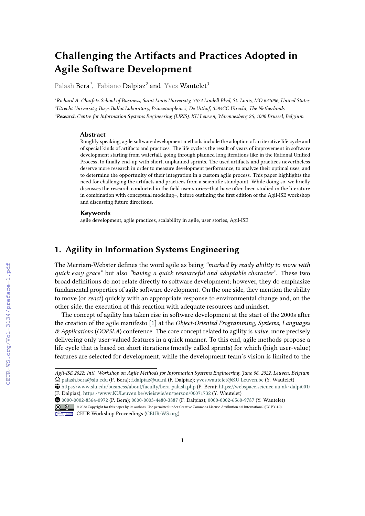# **Challenging the Artifacts and Practices Adopted in Agile Software Development**

Palash Bera*<sup>1</sup>* , Fabiano Dalpiaz*<sup>2</sup>* and Yves Wautelet*<sup>3</sup>*

*<sup>1</sup>Richard A. Chaifetz School of Business, Saint Louis University, 3674 Lindell Blvd, St. Louis, MO 631086, United States <sup>2</sup>Utrecht University, Buys Ballot Laboratory, Princetonplein 5, De Uithof, 3584CC Utrecht, The Netherlands <sup>3</sup>Research Centre for Information Systems Engineering (LIRIS), KU Leuven, Warmoesberg 26, 1000 Brussel, Belgium*

#### **Abstract**

Roughly speaking, agile software development methods include the adoption of an iterative life cycle and of special kinds of artifacts and practices. The life cycle is the result of years of improvement in software development starting from waterfall, going through planned long iterations like in the Rational Unified Process, to finally end-up with short, unplanned sprints. The used artifacts and practices nevertheless deserve more research in order to measure development performance, to analyze their optimal uses, and to determine the opportunity of their integration in a custom agile process. This paper highlights the need for challenging the artifacts and practices from a scientific standpoint. While doing so, we briefly discusses the research conducted in the field user stories–that have often been studied in the literature in combination with conceptual modeling–, before outlining the first edition of the Agil-ISE workshop and discussing future directions.

#### **Keywords**

agile development, agile practices, scalability in agile, user stories, Agil-ISE

## **1. Agility in Information Systems Engineering**

The Merriam-Webster defines the word agile as being *"marked by ready ability to move with quick easy grace"* but also *"having a quick resourceful and adaptable character"*. These two broad definitions do not relate directly to software development; however, they do emphasize fundamental properties of agile software development. On the one side, they mention the ability to move (or *react*) quickly with an appropriate response to environmental change and, on the other side, the execution of this reaction with adequate resources and mindset.

The concept of agility has taken rise in software development at the start of the 2000s after the creation of the agile manifesto [\[1\]](#page--1-0) at the *Object-Oriented Programming, Systems, Languages & Applications* (*OOPSLA*) conference. The core concept related to agility is *value*, more precisely delivering only user-valued features in a quick manner. To this end, agile methods propose a life cycle that is based on short iterations (mostly called sprints) for which (high user-value) features are selected for development, while the development team's vision is limited to the

Orcid [0000-0002-8364-0972](https://orcid.org/0000-0002-8364-0972) (P. Bera); [0000-0003-4480-3887](https://orcid.org/0000-0003-4480-3887) (F. Dalpiaz); [0000-0002-6560-9787](https://orcid.org/0000-0002-6560-9787) (Y. Wautelet) © 2022 Copyright for this paper by its authors. Use permitted under Creative Commons License Attribution 4.0 International (CC BY 4.0).



CEUR Workshop [Proceedings](http://ceur-ws.org) [\(CEUR-WS.org\)](http://ceur-ws.org)

*Agil-ISE 2022: Intl. Workshop on Agile Methods for Information Systems Engineering, June 06, 2022, Leuven, Belgium*  $\bigcirc$  [palash.bera@slu.edu](mailto:palash.bera@slu.edu) (P. Bera); [f.dalpiaz@uu.nl](mailto:f.dalpiaz@uu.nl) (F. Dalpiaz); [yves.wautelet@KU Leuven.be](mailto:yves.wautelet@KU Leuven.be) (Y. Wautelet)

GLOBE <https://www.slu.edu/business/about/faculty/bera-palash.php> (P. Bera); <https://webspace.science.uu.nl/~dalpi001/> (F. Dalpiaz); [https://www.KULeuven.be/wieiswie/en/person/00071732](https://www.KU Leuven.be/wieiswie/en/person/00071732) (Y. Wautelet)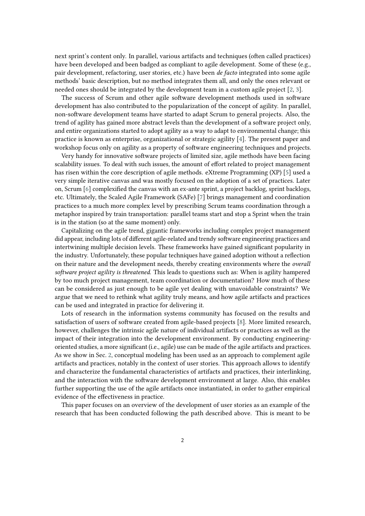next sprint's content only. In parallel, various artifacts and techniques (often called practices) have been developed and been badged as compliant to agile development. Some of these (e.g., pair development, refactoring, user stories, etc.) have been *de facto* integrated into some agile methods' basic description, but no method integrates them all, and only the ones relevant or needed ones should be integrated by the development team in a custom agile project [\[2,](#page-6-0) [3\]](#page-6-1).

The success of Scrum and other agile software development methods used in software development has also contributed to the popularization of the concept of agility. In parallel, non-software development teams have started to adapt Scrum to general projects. Also, the trend of agility has gained more abstract levels than the development of a software project only, and entire organizations started to adopt agility as a way to adapt to environmental change; this practice is known as enterprise, organizational or strategic agility [\[4\]](#page-6-2). The present paper and workshop focus only on agility as a property of software engineering techniques and projects.

Very handy for innovative software projects of limited size, agile methods have been facing scalability issues. To deal with such issues, the amount of effort related to project management has risen within the core description of agile methods. eXtreme Programming (XP) [\[5\]](#page-6-3) used a very simple iterative canvas and was mostly focused on the adoption of a set of practices. Later on, Scrum [\[6\]](#page-6-4) complexified the canvas with an ex-ante sprint, a project backlog, sprint backlogs, etc. Ultimately, the Scaled Agile Framework (SAFe) [\[7\]](#page-6-5) brings management and coordination practices to a much more complex level by prescribing Scrum teams coordination through a metaphor inspired by train transportation: parallel teams start and stop a Sprint when the train is in the station (so at the same moment) only.

Capitalizing on the agile trend, gigantic frameworks including complex project management did appear, including lots of different agile-related and trendy software engineering practices and intertwining multiple decision levels. These frameworks have gained significant popularity in the industry. Unfortunately, these popular techniques have gained adoption without a reflection on their nature and the development needs, thereby creating environments where the *overall software project agility is threatened*. This leads to questions such as: When is agility hampered by too much project management, team coordination or documentation? How much of these can be considered as just enough to be agile yet dealing with unavoidable constraints? We argue that we need to rethink what agility truly means, and how agile artifacts and practices can be used and integrated in practice for delivering it.

Lots of research in the information systems community has focused on the results and satisfaction of users of software created from agile-based projects [\[8\]](#page-6-6). More limited research, however, challenges the intrinsic agile nature of individual artifacts or practices as well as the impact of their integration into the development environment. By conducting engineeringoriented studies, a more significant (i.e., agile) use can be made of the agile artifacts and practices. As we show in Sec. [2,](#page-2-0) conceptual modeling has been used as an approach to complement agile artifacts and practices, notably in the context of user stories. This approach allows to identify and characterize the fundamental characteristics of artifacts and practices, their interlinking, and the interaction with the software development environment at large. Also, this enables further supporting the use of the agile artifacts once instantiated, in order to gather empirical evidence of the effectiveness in practice.

This paper focuses on an overview of the development of user stories as an example of the research that has been conducted following the path described above. This is meant to be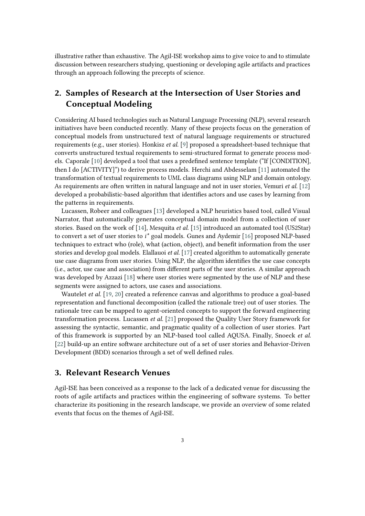illustrative rather than exhaustive. The Agil-ISE workshop aims to give voice to and to stimulate discussion between researchers studying, questioning or developing agile artifacts and practices through an approach following the precepts of science.

## <span id="page-2-0"></span>**2. Samples of Research at the Intersection of User Stories and Conceptual Modeling**

Considering AI based technologies such as Natural Language Processing (NLP), several research initiatives have been conducted recently. Many of these projects focus on the generation of conceptual models from unstructured text of natural language requirements or structured requirements (e.g., user stories). Honkisz *et al.* [\[9\]](#page-6-7) proposed a spreadsheet-based technique that converts unstructured textual requirements to semi-structured format to generate process models. Caporale [\[10\]](#page-6-8) developed a tool that uses a predefined sentence template ("If [CONDITION], then I do [ACTIVITY]") to derive process models. Herchi and Abdesselam [\[11\]](#page-6-9) automated the transformation of textual requirements to UML class diagrams using NLP and domain ontology. As requirements are often written in natural language and not in user stories, Vemuri *et al.* [\[12\]](#page-7-0) developed a probabilistic-based algorithm that identifies actors and use cases by learning from the patterns in requirements.

Lucassen, Robeer and colleagues [\[13\]](#page-7-1) developed a NLP heuristics based tool, called Visual Narrator, that automatically generates conceptual domain model from a collection of user stories. Based on the work of [\[14\]](#page-7-2), Mesquita *et al.* [\[15\]](#page-7-3) introduced an automated tool (US2Star) to convert a set of user stories to *i\** goal models. Gunes and Aydemir [\[16\]](#page-7-4) proposed NLP-based techniques to extract who (role), what (action, object), and benefit information from the user stories and develop goal models. Elallauoi *et al.* [\[17\]](#page-7-5) created algorithm to automatically generate use case diagrams from user stories. Using NLP, the algorithm identifies the use case concepts (i.e., actor, use case and association) from different parts of the user stories. A similar approach was developed by Azzazi [\[18\]](#page-7-6) where user stories were segmented by the use of NLP and these segments were assigned to actors, use cases and associations.

Wautelet *et al.* [\[19,](#page-7-7) [20\]](#page-7-8) created a reference canvas and algorithms to produce a goal-based representation and functional decomposition (called the rationale tree) out of user stories. The rationale tree can be mapped to agent-oriented concepts to support the forward engineering transformation process. Lucassen *et al.* [\[21\]](#page-7-9) proposed the Quality User Story framework for assessing the syntactic, semantic, and pragmatic quality of a collection of user stories. Part of this framework is supported by an NLP-based tool called AQUSA. Finally, Snoeck *et al.* [\[22\]](#page-7-10) build-up an entire software architecture out of a set of user stories and Behavior-Driven Development (BDD) scenarios through a set of well defined rules.

## **3. Relevant Research Venues**

Agil-ISE has been conceived as a response to the lack of a dedicated venue for discussing the roots of agile artifacts and practices within the engineering of software systems. To better characterize its positioning in the research landscape, we provide an overview of some related events that focus on the themes of Agil-ISE.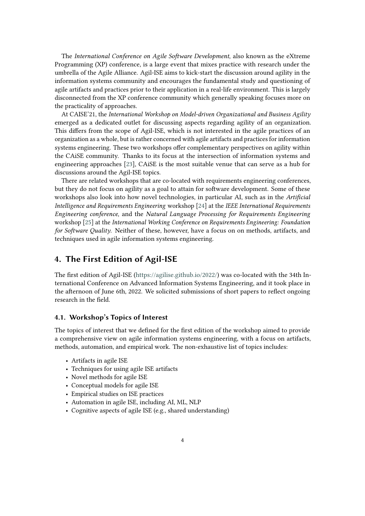The *International Conference on Agile Software Development*, also known as the eXtreme Programming (XP) conference, is a large event that mixes practice with research under the umbrella of the Agile Alliance. Agil-ISE aims to kick-start the discussion around agility in the information systems community and encourages the fundamental study and questioning of agile artifacts and practices prior to their application in a real-life environment. This is largely disconnected from the XP conference community which generally speaking focuses more on the practicality of approaches.

At CAISE'21, the *International Workshop on Model-driven Organizational and Business Agility* emerged as a dedicated outlet for discussing aspects regarding agility of an organization. This differs from the scope of Agil-ISE, which is not interested in the agile practices of an organization as a whole, but is rather concerned with agile artifacts and practices for information systems engineering. These two workshops offer complementary perspectives on agility within the CAiSE community. Thanks to its focus at the intersection of information systems and engineering approaches [\[23\]](#page-7-11), CAiSE is the most suitable venue that can serve as a hub for discussions around the Agil-ISE topics.

There are related workshops that are co-located with requirements engineering conferences, but they do not focus on agility as a goal to attain for software development. Some of these workshops also look into how novel technologies, in particular AI, such as in the *Artificial Intelligence and Requirements Engineering* workshop [\[24\]](#page-7-12) at the *IEEE International Requirements Engineering conference*, and the *Natural Language Processing for Requirements Engineering* workshop [\[25\]](#page-7-13) at the *International Working Conference on Requirements Engineering: Foundation for Software Quality*. Neither of these, however, have a focus on on methods, artifacts, and techniques used in agile information systems engineering.

## **4. The First Edition of Agil-ISE**

The first edition of Agil-ISE [\(https://agilise.github.io/2022/\)](https://agilise.github.io/2022/) was co-located with the 34th International Conference on Advanced Information Systems Engineering, and it took place in the afternoon of June 6th, 2022. We solicited submissions of short papers to reflect ongoing research in the field.

#### **4.1. Workshop's Topics of Interest**

The topics of interest that we defined for the first edition of the workshop aimed to provide a comprehensive view on agile information systems engineering, with a focus on artifacts, methods, automation, and empirical work. The non-exhaustive list of topics includes:

- Artifacts in agile ISE
- Techniques for using agile ISE artifacts
- Novel methods for agile ISE
- Conceptual models for agile ISE
- Empirical studies on ISE practices
- Automation in agile ISE, including AI, ML, NLP
- Cognitive aspects of agile ISE (e.g., shared understanding)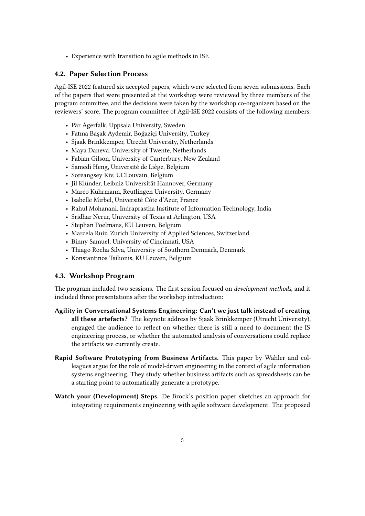• Experience with transition to agile methods in ISE

#### **4.2. Paper Selection Process**

Agil-ISE 2022 featured six accepted papers, which were selected from seven submissions. Each of the papers that were presented at the workshop were reviewed by three members of the program committee, and the decisions were taken by the workshop co-organizers based on the reviewers' score. The program committee of Agil-ISE 2022 consists of the following members:

- Pär Ågerfalk, Uppsala University, Sweden
- Fatma Başak Aydemir, Boğaziçi University, Turkey
- Sjaak Brinkkemper, Utrecht University, Netherlands
- Maya Daneva, University of Twente, Netherlands
- Fabian Gilson, University of Canterbury, New Zealand
- Samedi Heng, Université de Liège, Belgium
- Soreangsey Kiv, UCLouvain, Belgium
- Jil Klünder, Leibniz Universität Hannover, Germany
- Marco Kuhrmann, Reutlingen University, Germany
- Isabelle Mirbel, Université Côte d'Azur, France
- Rahul Mohanani, Indraprastha Institute of Information Technology, India
- Sridhar Nerur, University of Texas at Arlington, USA
- Stephan Poelmans, KU Leuven, Belgium
- Marcela Ruiz, Zurich University of Applied Sciences, Switzerland
- Binny Samuel, University of Cincinnati, USA
- Thiago Rocha Silva, University of Southern Denmark, Denmark
- Konstantinos Tsilionis, KU Leuven, Belgium

#### **4.3. Workshop Program**

The program included two sessions. The first session focused on *development methods*, and it included three presentations after the workshop introduction:

- **Agility in Conversational Systems Engineering: Can't we just talk instead of creating all these artefacts?** The keynote address by Sjaak Brinkkemper (Utrecht University), engaged the audience to reflect on whether there is still a need to document the IS engineering process, or whether the automated analysis of conversations could replace the artifacts we currently create.
- **Rapid Software Prototyping from Business Artifacts.** This paper by Wahler and colleagues argue for the role of model-driven engineering in the context of agile information systems engineering. They study whether business artifacts such as spreadsheets can be a starting point to automatically generate a prototype.
- **Watch your (Development) Steps.** De Brock's position paper sketches an approach for integrating requirements engineering with agile software development. The proposed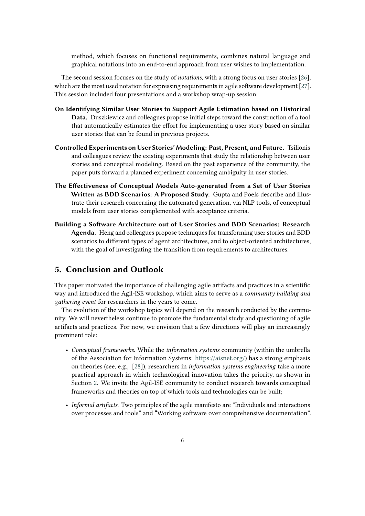method, which focuses on functional requirements, combines natural language and graphical notations into an end-to-end approach from user wishes to implementation.

The second session focuses on the study of *notations*, with a strong focus on user stories [\[26\]](#page-7-14), which are the most used notation for expressing requirements in agile software development [\[27\]](#page-7-15). This session included four presentations and a workshop wrap-up session:

- **On Identifying Similar User Stories to Support Agile Estimation based on Historical Data.** Duszkiewicz and colleagues propose initial steps toward the construction of a tool that automatically estimates the effort for implementing a user story based on similar user stories that can be found in previous projects.
- **Controlled Experiments on User Stories' Modeling: Past, Present, and Future.** Tsilionis and colleagues review the existing experiments that study the relationship between user stories and conceptual modeling. Based on the past experience of the community, the paper puts forward a planned experiment concerning ambiguity in user stories.
- **The Effectiveness of Conceptual Models Auto-generated from a Set of User Stories Written as BDD Scenarios: A Proposed Study.** Gupta and Poels describe and illustrate their research concerning the automated generation, via NLP tools, of conceptual models from user stories complemented with acceptance criteria.
- **Building a Software Architecture out of User Stories and BDD Scenarios: Research Agenda.** Heng and colleagues propose techniques for transforming user stories and BDD scenarios to different types of agent architectures, and to object-oriented architectures, with the goal of investigating the transition from requirements to architectures.

## **5. Conclusion and Outlook**

This paper motivated the importance of challenging agile artifacts and practices in a scientific way and introduced the Agil-ISE workshop, which aims to serve as a *community building and gathering event* for researchers in the years to come.

The evolution of the workshop topics will depend on the research conducted by the community. We will nevertheless continue to promote the fundamental study and questioning of agile artifacts and practices. For now, we envision that a few directions will play an increasingly prominent role:

- *Conceptual frameworks*. While the *information systems* community (within the umbrella of the Association for Information Systems: [https://aisnet.org/\)](https://aisnet.org/) has a strong emphasis on theories (see, e.g., [\[28\]](#page-7-16)), researchers in *information systems engineering* take a more practical approach in which technological innovation takes the priority, as shown in Section [2.](#page-2-0) We invite the Agil-ISE community to conduct research towards conceptual frameworks and theories on top of which tools and technologies can be built;
- *Informal artifacts*. Two principles of the agile manifesto are "Individuals and interactions over processes and tools" and "Working software over comprehensive documentation".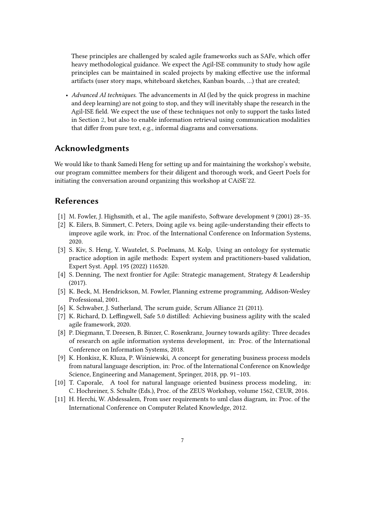These principles are challenged by scaled agile frameworks such as SAFe, which offer heavy methodological guidance. We expect the Agil-ISE community to study how agile principles can be maintained in scaled projects by making effective use the informal artifacts (user story maps, whiteboard sketches, Kanban boards, …) that are created;

• *Advanced AI techniques*. The advancements in AI (led by the quick progress in machine and deep learning) are not going to stop, and they will inevitably shape the research in the Agil-ISE field. We expect the use of these techniques not only to support the tasks listed in Section [2,](#page-2-0) but also to enable information retrieval using communication modalities that differ from pure text, e.g., informal diagrams and conversations.

## **Acknowledgments**

We would like to thank Samedi Heng for setting up and for maintaining the workshop's website, our program committee members for their diligent and thorough work, and Geert Poels for initiating the conversation around organizing this workshop at CAiSE'22.

### **References**

- [1] M. Fowler, J. Highsmith, et al., The agile manifesto, Software development 9 (2001) 28–35.
- <span id="page-6-0"></span>[2] K. Eilers, B. Simmert, C. Peters, Doing agile vs. being agile-understanding their effects to improve agile work, in: Proc. of the International Conference on Information Systems, 2020.
- <span id="page-6-1"></span>[3] S. Kiv, S. Heng, Y. Wautelet, S. Poelmans, M. Kolp, Using an ontology for systematic practice adoption in agile methods: Expert system and practitioners-based validation, Expert Syst. Appl. 195 (2022) 116520.
- <span id="page-6-2"></span>[4] S. Denning, The next frontier for Agile: Strategic management, Strategy & Leadership (2017).
- <span id="page-6-3"></span>[5] K. Beck, M. Hendrickson, M. Fowler, Planning extreme programming, Addison-Wesley Professional, 2001.
- <span id="page-6-4"></span>[6] K. Schwaber, J. Sutherland, The scrum guide, Scrum Alliance 21 (2011).
- <span id="page-6-5"></span>[7] K. Richard, D. Leffingwell, Safe 5.0 distilled: Achieving business agility with the scaled agile framework, 2020.
- <span id="page-6-6"></span>[8] P. Diegmann, T. Dreesen, B. Binzer, C. Rosenkranz, Journey towards agility: Three decades of research on agile information systems development, in: Proc. of the International Conference on Information Systems, 2018.
- <span id="page-6-7"></span>[9] K. Honkisz, K. Kluza, P. Wiśniewski, A concept for generating business process models from natural language description, in: Proc. of the International Conference on Knowledge Science, Engineering and Management, Springer, 2018, pp. 91–103.
- <span id="page-6-8"></span>[10] T. Caporale, A tool for natural language oriented business process modeling, in: C. Hochreiner, S. Schulte (Eds.), Proc. of the ZEUS Workshop, volume 1562, CEUR, 2016.
- <span id="page-6-9"></span>[11] H. Herchi, W. Abdessalem, From user requirements to uml class diagram, in: Proc. of the International Conference on Computer Related Knowledge, 2012.